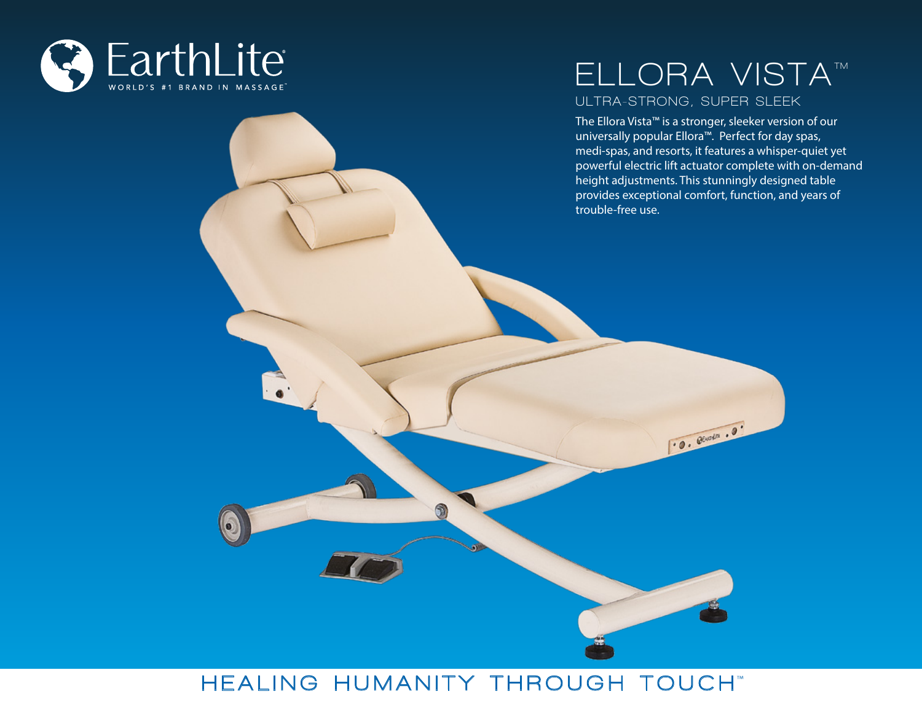

B

## **ELLORA VISTA™ ULTRA-STRONG, SUPER SLEEK**

The Ellora Vista™ is a stronger, sleeker version of our universally popular Ellora™. Perfect for day spas, medi-spas, and resorts, it features a whisper-quiet yet powerful electric lift actuator complete with on-demand height adjustments. This stunningly designed table provides exceptional comfort, function, and years of trouble-free use.

 $0.$   $0.$   $0.$   $0.$ 

# $HEALING HUMANITY THROUCH TOUCH"$